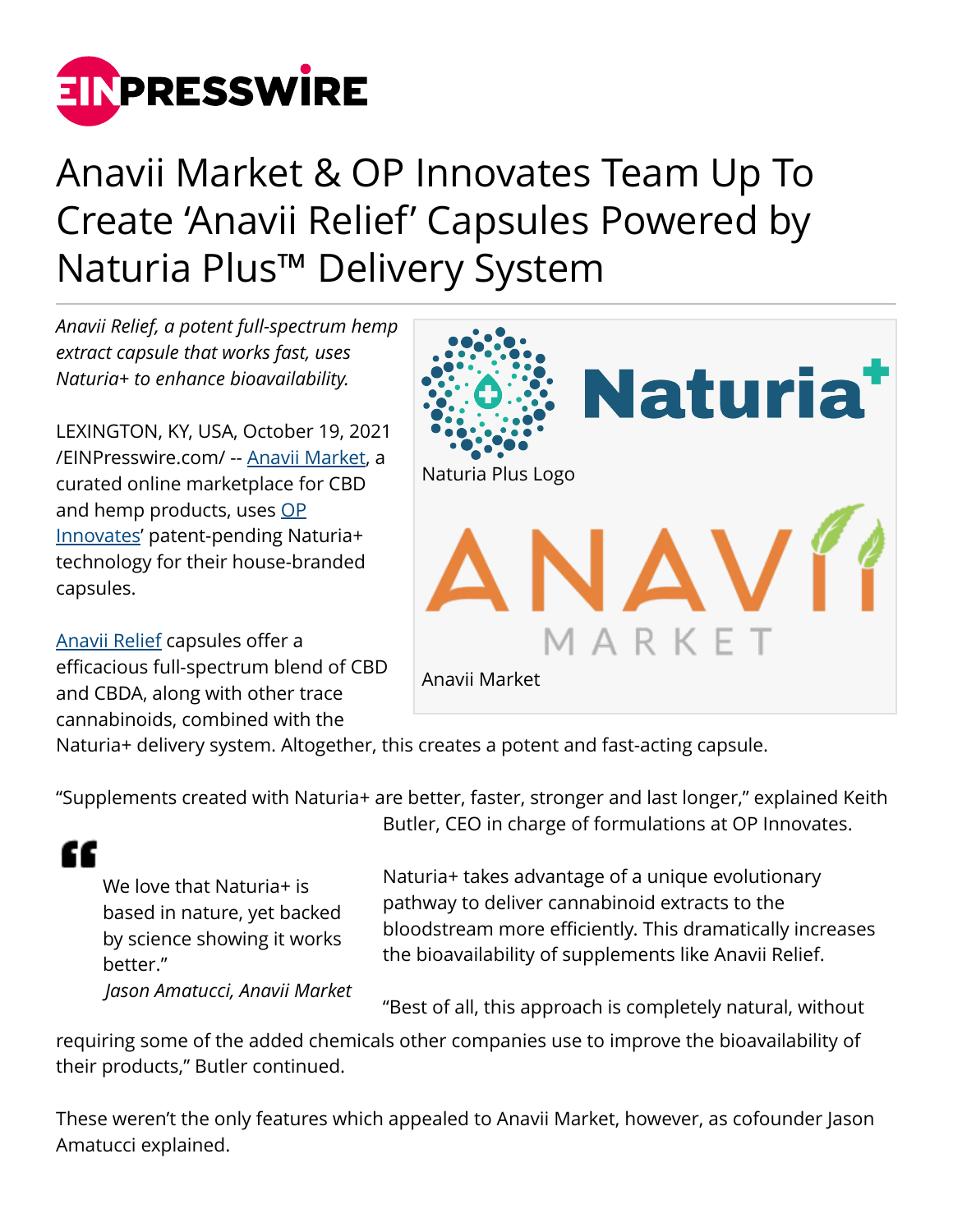

## Anavii Market & OP Innovates Team Up To Create 'Anavii Relief' Capsules Powered by Naturia Plus™ Delivery System

*Anavii Relief, a potent full-spectrum hemp extract capsule that works fast, uses Naturia+ to enhance bioavailability.*

LEXINGTON, KY, USA, October 19, 2021 [/EINPresswire.com/](http://www.einpresswire.com) -- [Anavii Market](https://anaviimarket.com/), a curated online marketplace for CBD and hemp products, uses [OP](https://www.opinnovates.com/) [Innovates](https://www.opinnovates.com/)' patent-pending Naturia+ technology for their house-branded capsules.

[Anavii Relief](https://www.anaviimarket.com/products/anavii-relief-capsules) capsules offer a efficacious full-spectrum blend of CBD and CBDA, along with other trace cannabinoids, combined with the



Naturia+ delivery system. Altogether, this creates a potent and fast-acting capsule.

"Supplements created with Naturia+ are better, faster, stronger and last longer," explained Keith

££

We love that Naturia+ is based in nature, yet backed by science showing it works better." *Jason Amatucci, Anavii Market* Butler, CEO in charge of formulations at OP Innovates.

Naturia+ takes advantage of a unique evolutionary pathway to deliver cannabinoid extracts to the bloodstream more efficiently. This dramatically increases the bioavailability of supplements like Anavii Relief.

"Best of all, this approach is completely natural, without

requiring some of the added chemicals other companies use to improve the bioavailability of their products," Butler continued.

These weren't the only features which appealed to Anavii Market, however, as cofounder Jason Amatucci explained.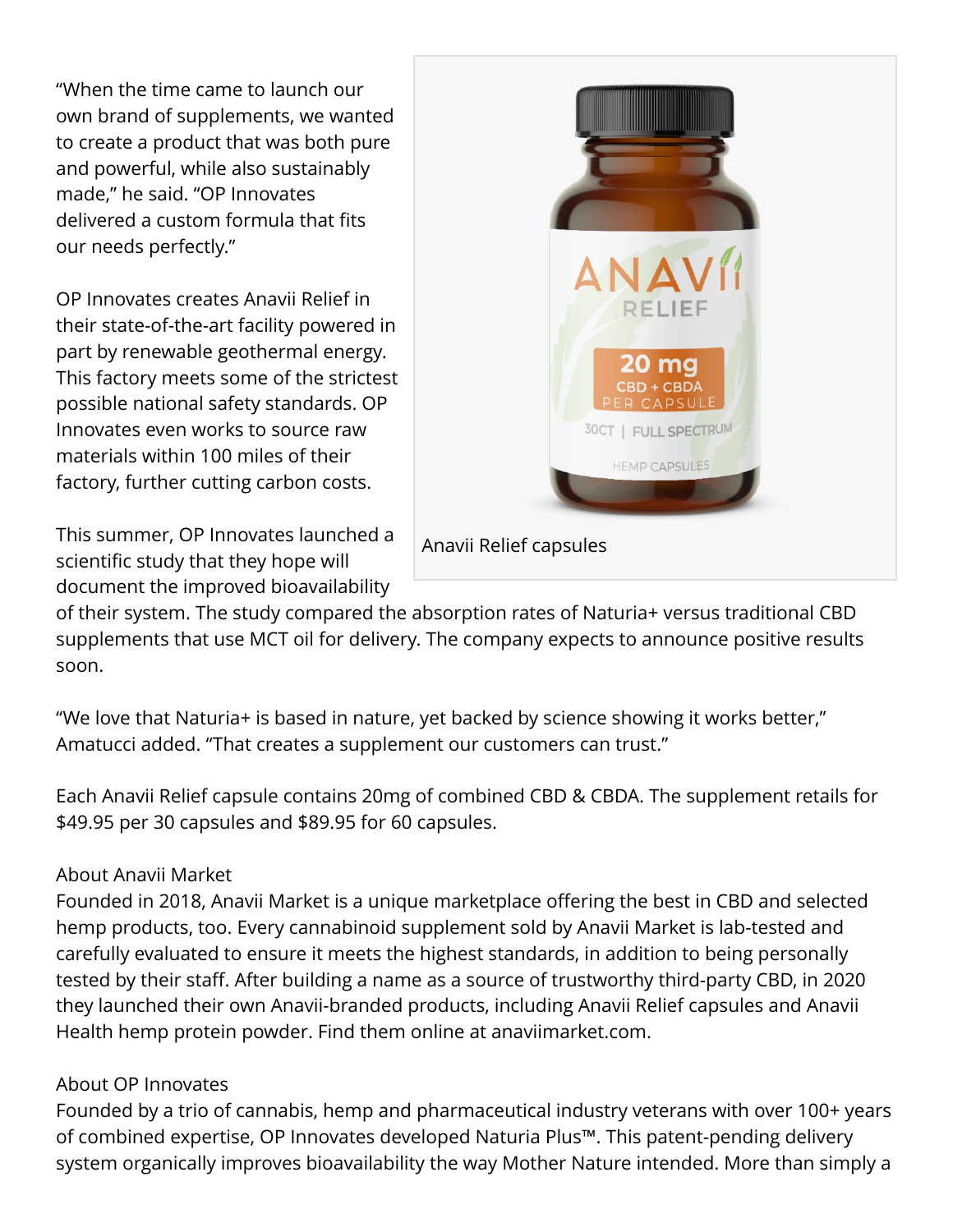"When the time came to launch our own brand of supplements, we wanted to create a product that was both pure and powerful, while also sustainably made," he said. "OP Innovates delivered a custom formula that fits our needs perfectly."

OP Innovates creates Anavii Relief in their state-of-the-art facility powered in part by renewable geothermal energy. This factory meets some of the strictest possible national safety standards. OP Innovates even works to source raw materials within 100 miles of their factory, further cutting carbon costs.

This summer, OP Innovates launched a scientific study that they hope will document the improved bioavailability



Anavii Relief capsules

of their system. The study compared the absorption rates of Naturia+ versus traditional CBD supplements that use MCT oil for delivery. The company expects to announce positive results soon.

"We love that Naturia+ is based in nature, yet backed by science showing it works better," Amatucci added. "That creates a supplement our customers can trust."

Each Anavii Relief capsule contains 20mg of combined CBD & CBDA. The supplement retails for \$49.95 per 30 capsules and \$89.95 for 60 capsules.

## About Anavii Market

Founded in 2018, Anavii Market is a unique marketplace offering the best in CBD and selected hemp products, too. Every cannabinoid supplement sold by Anavii Market is lab-tested and carefully evaluated to ensure it meets the highest standards, in addition to being personally tested by their staff. After building a name as a source of trustworthy third-party CBD, in 2020 they launched their own Anavii-branded products, including Anavii Relief capsules and Anavii Health hemp protein powder. Find them online at anaviimarket.com.

## About OP Innovates

Founded by a trio of cannabis, hemp and pharmaceutical industry veterans with over 100+ years of combined expertise, OP Innovates developed Naturia Plus™. This patent-pending delivery system organically improves bioavailability the way Mother Nature intended. More than simply a